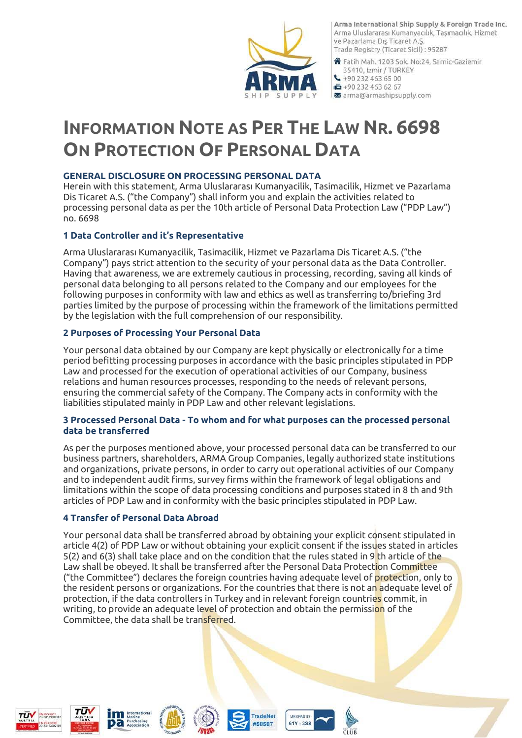

Arma International Ship Supply & Foreign Trade Inc. Arma Uluslararası Kumanyacılık, Taşımacılık, Hizmet ve Pazarlama Dış Ticaret A.Ş. Trade Registry (Ticaret Sicil): 95287

谷 Fatih Mah. 1203 Sok. No:24, Sarnic-Gaziemir 35410, Izmir / TURKEY  $\bigcup$  +90 232 463 65 00  $+902324636267$ x arma@armashipsupply.com

# **INFORMATION NOTE AS PER THE LAW NR. 6698 ON PROTECTION OF PERSONAL DATA**

### **GENERAL DISCLOSURE ON PROCESSING PERSONAL DATA**

Herein with this statement, Arma Uluslararası Kumanyacilik, Tasimacilik, Hizmet ve Pazarlama Dis Ticaret A.S. ("the Company") shall inform you and explain the activities related to processing personal data as per the 10th article of Personal Data Protection Law ("PDP Law") no. 6698

## **1 Data Controller and it's Representative**

Arma Uluslararası Kumanyacilik, Tasimacilik, Hizmet ve Pazarlama Dis Ticaret A.S. ("the Company") pays strict attention to the security of your personal data as the Data Controller. Having that awareness, we are extremely cautious in processing, recording, saving all kinds of personal data belonging to all persons related to the Company and our employees for the following purposes in conformity with law and ethics as well as transferring to/briefing 3rd parties limited by the purpose of processing within the framework of the limitations permitted by the legislation with the full comprehension of our responsibility.

## **2 Purposes of Processing Your Personal Data**

Your personal data obtained by our Company are kept physically or electronically for a time period befitting processing purposes in accordance with the basic principles stipulated in PDP Law and processed for the execution of operational activities of our Company, business relations and human resources processes, responding to the needs of relevant persons, ensuring the commercial safety of the Company. The Company acts in conformity with the liabilities stipulated mainly in PDP Law and other relevant legislations.

#### **3 Processed Personal Data - To whom and for what purposes can the processed personal data be transferred**

As per the purposes mentioned above, your processed personal data can be transferred to our business partners, shareholders, ARMA Group Companies, legally authorized state institutions and organizations, private persons, in order to carry out operational activities of our Company and to independent audit firms, survey firms within the framework of legal obligations and limitations within the scope of data processing conditions and purposes stated in 8 th and 9th articles of PDP Law and in conformity with the basic principles stipulated in PDP Law.

#### **4 Transfer of Personal Data Abroad**

Your personal data shall be transferred abroad by obtaining your explicit consent stipulated in article 4(2) of PDP Law or without obtaining your explicit consent if the issues stated in articles 5(2) and 6(3) shall take place and on the condition that the rules stated in 9 th article of the Law shall be obeyed. It shall be transferred after the Personal Data Protection Committee ("the Committee") declares the foreign countries having adequate level of protection, only to the resident persons or organizations. For the countries that there is not an adequate level of protection, if the data controllers in Turkey and in relevant foreign countries commit, in writing, to provide an adequate level of protection and obtain the permission of the Committee, the data shall be transferred.

TradeNet

#58587